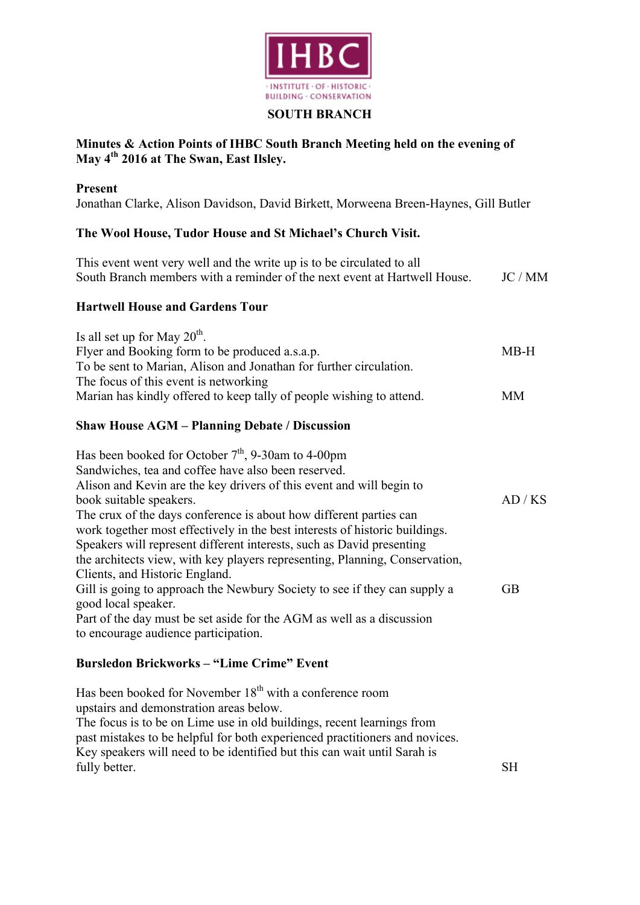

#### **SOUTH BRANCH**

## **Minutes & Action Points of IHBC South Branch Meeting held on the evening of May 4th 2016 at The Swan, East Ilsley.**

#### **Present**

Jonathan Clarke, Alison Davidson, David Birkett, Morweena Breen-Haynes, Gill Butler

#### **The Wool House, Tudor House and St Michael's Church Visit.**

| This event went very well and the write up is to be circulated to all<br>South Branch members with a reminder of the next event at Hartwell House.                                                                                                                                                                                                                                                                                                                                                                                                            | JC / MM   |
|---------------------------------------------------------------------------------------------------------------------------------------------------------------------------------------------------------------------------------------------------------------------------------------------------------------------------------------------------------------------------------------------------------------------------------------------------------------------------------------------------------------------------------------------------------------|-----------|
| <b>Hartwell House and Gardens Tour</b>                                                                                                                                                                                                                                                                                                                                                                                                                                                                                                                        |           |
| Is all set up for May $20^{\text{th}}$ .<br>Flyer and Booking form to be produced a.s.a.p.<br>To be sent to Marian, Alison and Jonathan for further circulation.<br>The focus of this event is networking                                                                                                                                                                                                                                                                                                                                                     | $MB-H$    |
| Marian has kindly offered to keep tally of people wishing to attend.                                                                                                                                                                                                                                                                                                                                                                                                                                                                                          | <b>MM</b> |
| <b>Shaw House AGM - Planning Debate / Discussion</b>                                                                                                                                                                                                                                                                                                                                                                                                                                                                                                          |           |
| Has been booked for October $7th$ , 9-30am to 4-00pm<br>Sandwiches, tea and coffee have also been reserved.<br>Alison and Kevin are the key drivers of this event and will begin to<br>book suitable speakers.<br>The crux of the days conference is about how different parties can<br>work together most effectively in the best interests of historic buildings.<br>Speakers will represent different interests, such as David presenting<br>the architects view, with key players representing, Planning, Conservation,<br>Clients, and Historic England. | AD/KS     |
| Gill is going to approach the Newbury Society to see if they can supply a<br>good local speaker.<br>Part of the day must be set aside for the AGM as well as a discussion<br>to encourage audience participation.                                                                                                                                                                                                                                                                                                                                             | <b>GB</b> |
| <b>Bursledon Brickworks - "Lime Crime" Event</b>                                                                                                                                                                                                                                                                                                                                                                                                                                                                                                              |           |
| Has been booked for November 18 <sup>th</sup> with a conference room<br>upstairs and demonstration areas below.                                                                                                                                                                                                                                                                                                                                                                                                                                               |           |

The focus is to be on Lime use in old buildings, recent learnings from past mistakes to be helpful for both experienced practitioners and novices. Key speakers will need to be identified but this can wait until Sarah is fully better. SH